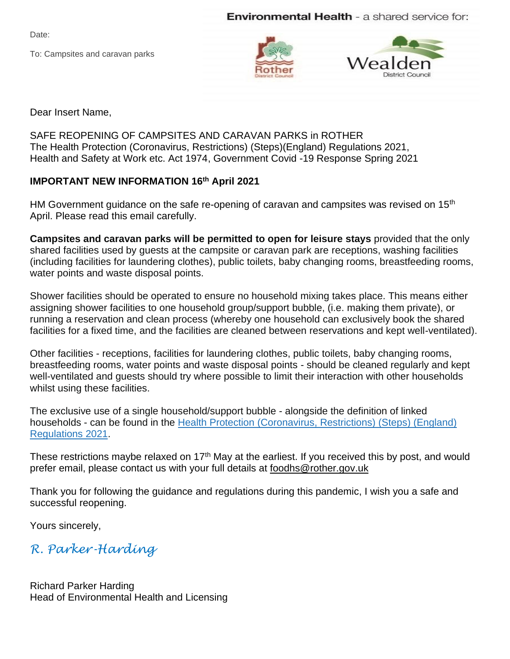**Environmental Health** - a shared service for:

Date:

To: Campsites and caravan parks





Dear Insert Name,

SAFE REOPENING OF CAMPSITES AND CARAVAN PARKS in ROTHER The Health Protection (Coronavirus, Restrictions) (Steps)(England) Regulations 2021, Health and Safety at Work etc. Act 1974, Government Covid -19 Response Spring 2021

## **IMPORTANT NEW INFORMATION 16th April 2021**

HM Government guidance on the safe re-opening of caravan and campsites was revised on 15<sup>th</sup> April. Please read this email carefully.

**Campsites and caravan parks will be permitted to open for leisure stays** provided that the only shared facilities used by guests at the campsite or caravan park are receptions, washing facilities (including facilities for laundering clothes), public toilets, baby changing rooms, breastfeeding rooms, water points and waste disposal points.

Shower facilities should be operated to ensure no household mixing takes place. This means either assigning shower facilities to one household group/support bubble, (i.e. making them private), or running a reservation and clean process (whereby one household can exclusively book the shared facilities for a fixed time, and the facilities are cleaned between reservations and kept well-ventilated).

Other facilities - receptions, facilities for laundering clothes, public toilets, baby changing rooms, breastfeeding rooms, water points and waste disposal points - should be cleaned regularly and kept well-ventilated and guests should try where possible to limit their interaction with other households whilst using these facilities.

The exclusive use of a single household/support bubble - alongside the definition of linked households - can be found in the Health Protection [\(Coronavirus,](https://www.legislation.gov.uk/uksi/2021/364/contents/made) Restrictions) (Steps) (England) [Regulations](https://www.legislation.gov.uk/uksi/2021/364/contents/made) 2021.

These restrictions maybe relaxed on 17<sup>th</sup> May at the earliest. If you received this by post, and would prefer email, please contact us with your full details at [foodhs@rother.gov.uk](mailto:foodhs@rother.gov.uk)

Thank you for following the guidance and regulations during this pandemic, I wish you a safe and successful reopening.

Yours sincerely,

*R. Parker-Harding* 

Richard Parker Harding Head of Environmental Health and Licensing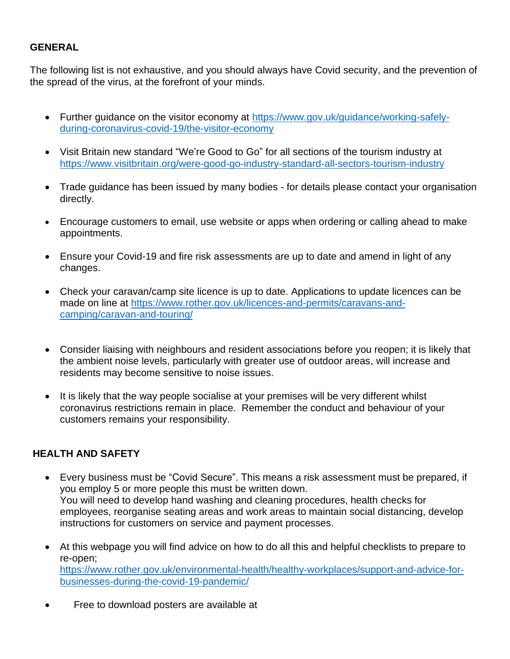## **GENERAL**

The following list is not exhaustive, and you should always have Covid security, and the prevention of the spread of the virus, at the forefront of your minds.

- Further guidance on the visitor economy at [https://www.gov.uk/guidance/working-safely](https://www.gov.uk/guidance/working-safely-during-coronavirus-covid-19/the-visitor-economy)[during-coronavirus-covid-19/the-visitor-economy](https://www.gov.uk/guidance/working-safely-during-coronavirus-covid-19/the-visitor-economy)
- Visit Britain new standard "We're Good to Go" for all sections of the tourism industry at <https://www.visitbritain.org/were-good-go-industry-standard-all-sectors-tourism-industry>
- Trade guidance has been issued by many bodies for details please contact your organisation directly.
- Encourage customers to email, use website or apps when ordering or calling ahead to make appointments.
- Ensure your Covid-19 and fire risk assessments are up to date and amend in light of any changes.
- Check your caravan/camp site licence is up to date. Applications to update licences can be made on line at [https://www.rother.gov.uk/licences-and-permits/caravans-and](https://www.rother.gov.uk/licences-and-permits/caravans-and-camping/caravan-and-touring/)[camping/caravan-and-touring/](https://www.rother.gov.uk/licences-and-permits/caravans-and-camping/caravan-and-touring/)
- Consider liaising with neighbours and resident associations before you reopen; it is likely that the ambient noise levels, particularly with greater use of outdoor areas, will increase and residents may become sensitive to noise issues.
- It is likely that the way people socialise at your premises will be very different whilst coronavirus restrictions remain in place. Remember the conduct and behaviour of your customers remains your responsibility.

## **HEALTH AND SAFETY**

- Every business must be "Covid Secure". This means a risk assessment must be prepared, if you employ 5 or more people this must be written down. You will need to develop hand washing and cleaning procedures, health checks for employees, reorganise seating areas and work areas to maintain social distancing, develop instructions for customers on service and payment processes.
- At this webpage you will find advice on how to do all this and helpful checklists to prepare to re-open; [https://www.rother.gov.uk/environmental-health/healthy-workplaces/support-and-advice-for](https://www.rother.gov.uk/environmental-health/healthy-workplaces/support-and-advice-for-businesses-during-the-covid-19-pandemic/)[businesses-during-the-covid-19-pandemic/](https://www.rother.gov.uk/environmental-health/healthy-workplaces/support-and-advice-for-businesses-during-the-covid-19-pandemic/)
- Free to download posters are available at